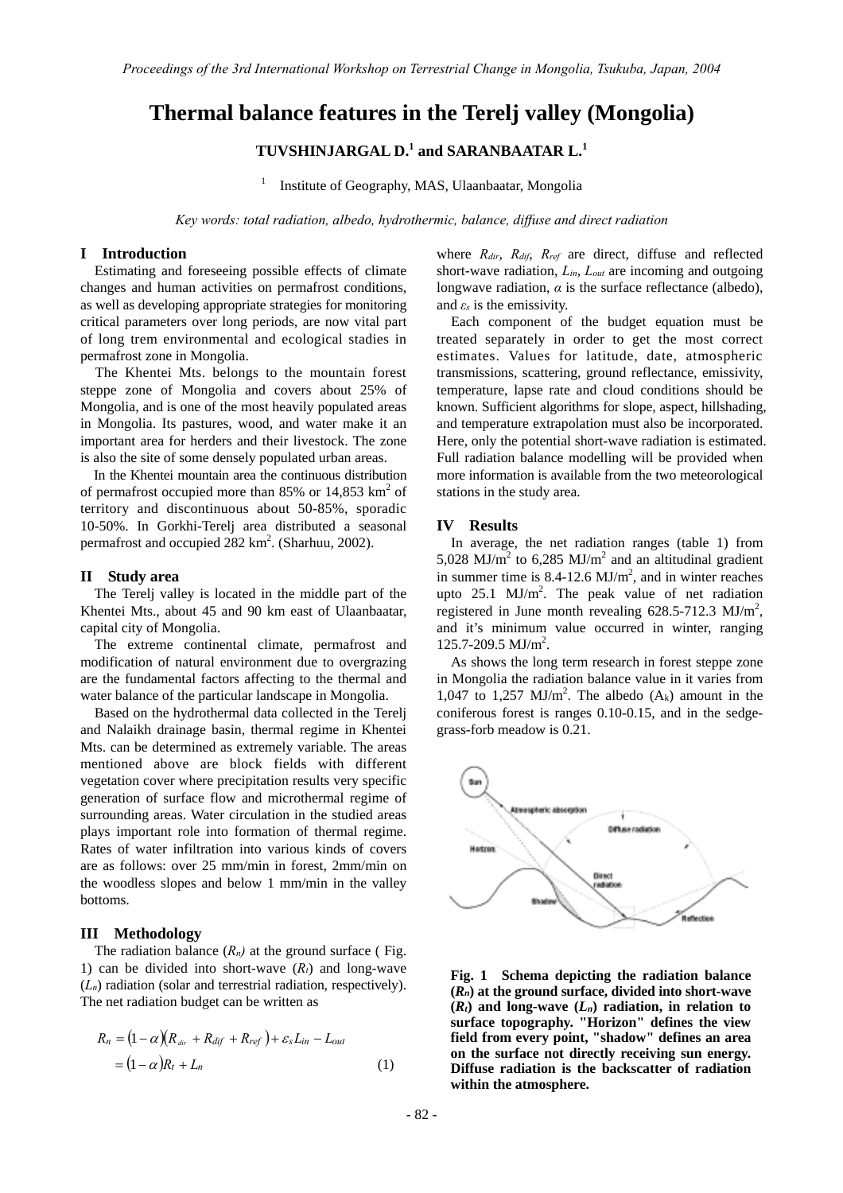# **Thermal balance features in the Terelj valley (Mongolia)**

# **TUVSHINJARGAL D.<sup>1</sup> and SARANBAATAR L.<sup>1</sup>**

1 Institute of Geography, MAS, Ulaanbaatar, Mongolia

*Key words: total radiation, albedo, hydrothermic, balance, diffuse and direct radiation* 

#### **I Introduction**

Estimating and foreseeing possible effects of climate changes and human activities on permafrost conditions, as well as developing appropriate strategies for monitoring critical parameters over long periods, are now vital part of long trem environmental and ecological stadies in permafrost zone in Mongolia.

The Khentei Mts. belongs to the mountain forest steppe zone of Mongolia and covers about 25% of Mongolia, and is one of the most heavily populated areas in Mongolia. Its pastures, wood, and water make it an important area for herders and their livestock. The zone is also the site of some densely populated urban areas.

In the Khentei mountain area the continuous distribution of permafrost occupied more than 85% or  $14,853$  km<sup>2</sup> of territory and discontinuous about 50-85%, sporadic 10-50%. In Gorkhi-Terelj area distributed a seasonal permafrost and occupied  $282 \text{ km}^2$ . (Sharhuu, 2002).

#### **II Study area**

 The Terelj valley is located in the middle part of the Khentei Mts., about 45 and 90 km east of Ulaanbaatar, capital city of Mongolia.

 The extreme continental climate, permafrost and modification of natural environment due to overgrazing are the fundamental factors affecting to the thermal and water balance of the particular landscape in Mongolia.

Based on the hydrothermal data collected in the Terelj and Nalaikh drainage basin, thermal regime in Khentei Mts. can be determined as extremely variable. The areas mentioned above are block fields with different vegetation cover where precipitation results very specific generation of surface flow and microthermal regime of surrounding areas. Water circulation in the studied areas plays important role into formation of thermal regime. Rates of water infiltration into various kinds of covers are as follows: over 25 mm/min in forest, 2mm/min on the woodless slopes and below 1 mm/min in the valley bottoms.

# **III Methodology**

The radiation balance  $(R_n)$  at the ground surface (Fig. 1) can be divided into short-wave  $(R_t)$  and long-wave  $(L_n)$  radiation (solar and terrestrial radiation, respectively). The net radiation budget can be written as

$$
R_n = (1 - \alpha)(R_{\text{div}} + R_{\text{dif}} + R_{\text{ref}}) + \varepsilon_s L_{in} - L_{\text{out}}
$$
  
=  $(1 - \alpha)R_t + L_n$  (1)

where *Rdir*, *Rdif*, *Rref* are direct, diffuse and reflected short-wave radiation, *Lin*, *Lout* are incoming and outgoing longwave radiation,  $\alpha$  is the surface reflectance (albedo), and  $\varepsilon_s$  is the emissivity.

Each component of the budget equation must be treated separately in order to get the most correct estimates. Values for latitude, date, atmospheric transmissions, scattering, ground reflectance, emissivity, temperature, lapse rate and cloud conditions should be known. Sufficient algorithms for slope, aspect, hillshading, and temperature extrapolation must also be incorporated. Here, only the potential short-wave radiation is estimated. Full radiation balance modelling will be provided when more information is available from the two meteorological stations in the study area.

### **IV Results**

In average, the net radiation ranges (table 1) from 5,028 MJ/ $m^2$  to 6,285 MJ/ $m^2$  and an altitudinal gradient in summer time is  $8.4$ -12.6 MJ/m<sup>2</sup>, and in winter reaches upto 25.1  $MJ/m<sup>2</sup>$ . The peak value of net radiation registered in June month revealing  $628.5$ -712.3 MJ/m<sup>2</sup>, and it's minimum value occurred in winter, ranging 125.7-209.5 MJ/m<sup>2</sup>.

As shows the long term research in forest steppe zone in Mongolia the radiation balance value in it varies from 1,047 to 1,257 MJ/m<sup>2</sup>. The albedo  $(A_k)$  amount in the coniferous forest is ranges 0.10-0.15, and in the sedgegrass-forb meadow is 0.21.



**Fig. 1 Schema depicting the radiation balance**   $(R_n)$  at the ground surface, divided into short-wave  $(R_t)$  and long-wave  $(L_n)$  radiation, in relation to **surface topography. "Horizon" defines the view field from every point, "shadow" defines an area on the surface not directly receiving sun energy. Diffuse radiation is the backscatter of radiation within the atmosphere.**